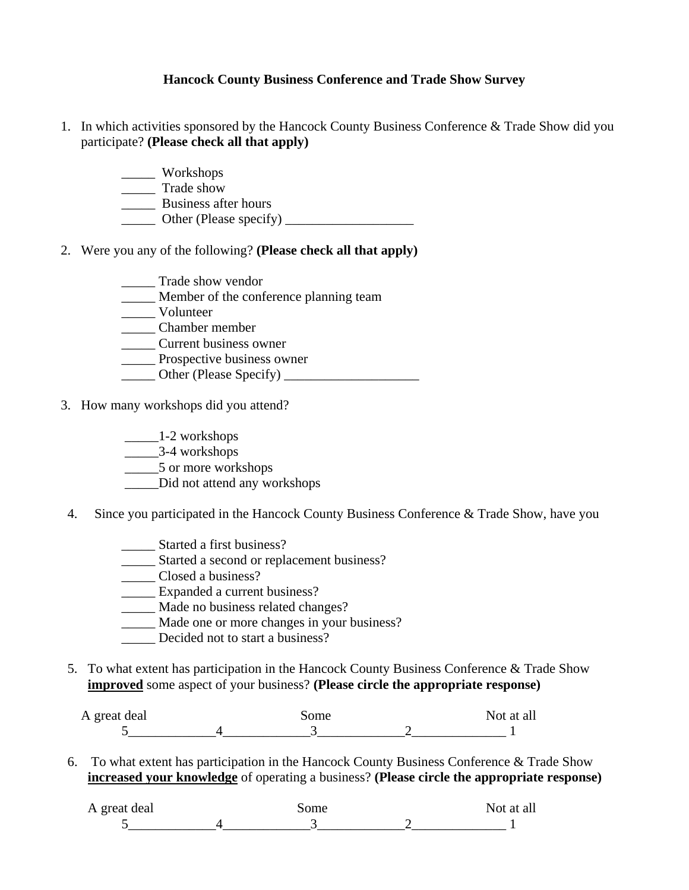## **Hancock County Business Conference and Trade Show Survey**

- 1. In which activities sponsored by the Hancock County Business Conference & Trade Show did you participate? **(Please check all that apply)** 
	- \_\_\_\_\_ Workshops
	- \_\_\_\_\_ Trade show
	- \_\_\_\_\_ Business after hours
	- $\Box$  Other (Please specify)  $\Box$
- 2. Were you any of the following? **(Please check all that apply)** 
	- \_\_\_\_\_ Trade show vendor
	- **Member of the conference planning team**
	- \_\_\_\_\_ Volunteer
	- \_\_\_\_\_ Chamber member
	- \_\_\_\_\_ Current business owner
	- \_\_\_\_\_ Prospective business owner
	- \_\_\_\_\_ Other (Please Specify) \_\_\_\_\_\_\_\_\_\_\_\_\_\_\_\_\_\_\_\_
- 3. How many workshops did you attend?
	- \_\_\_\_\_1-2 workshops
	- \_\_\_\_\_3-4 workshops
	- \_\_\_\_\_\_5 or more workshops
	- \_\_\_\_\_Did not attend any workshops
- 4. Since you participated in the Hancock County Business Conference & Trade Show, have you
	- \_\_\_\_\_ Started a first business?
	- \_\_\_\_\_ Started a second or replacement business?
	- \_\_\_\_\_ Closed a business?
	- \_\_\_\_\_ Expanded a current business?
	- \_\_\_\_\_ Made no business related changes?
	- \_\_\_\_\_ Made one or more changes in your business?
	- Decided not to start a business?
- 5. To what extent has participation in the Hancock County Business Conference & Trade Show **improved** some aspect of your business? **(Please circle the appropriate response)**

| A great deal | some | Not at all |
|--------------|------|------------|
|              |      |            |

6. To what extent has participation in the Hancock County Business Conference & Trade Show **increased your knowledge** of operating a business? **(Please circle the appropriate response)**

| A great deal | some | Not at all |
|--------------|------|------------|
|              |      |            |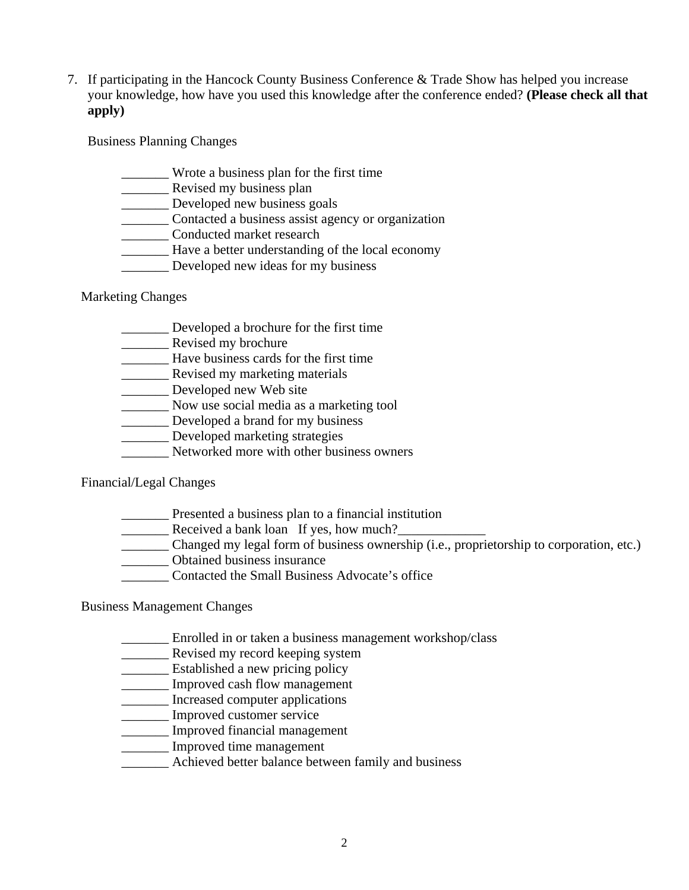7. If participating in the Hancock County Business Conference & Trade Show has helped you increase your knowledge, how have you used this knowledge after the conference ended? **(Please check all that apply)**

Business Planning Changes

- \_\_\_\_\_\_\_ Wrote a business plan for the first time
- \_\_\_\_\_\_\_ Revised my business plan
- **\_\_\_\_\_\_** Developed new business goals
- \_\_\_\_\_\_\_ Contacted a business assist agency or organization
- \_\_\_\_\_\_\_ Conducted market research
- \_\_\_\_\_\_\_ Have a better understanding of the local economy
- Developed new ideas for my business

## Marketing Changes

- \_\_\_\_\_\_\_ Developed a brochure for the first time
- **EXECUTE:** Revised my brochure
- \_\_\_\_\_\_\_ Have business cards for the first time
- **\_\_\_\_\_\_\_\_\_** Revised my marketing materials
- \_\_\_\_\_\_\_ Developed new Web site
- \_\_\_\_\_\_\_ Now use social media as a marketing tool
- **Developed a brand for my business**
- \_\_\_\_\_\_\_ Developed marketing strategies
- Networked more with other business owners

Financial/Legal Changes

- **EXECUTE:** Presented a business plan to a financial institution
- Lecustveed a bank loan If yes, how much?
- \_\_\_\_\_\_\_ Changed my legal form of business ownership (i.e., proprietorship to corporation, etc.)
- \_\_\_\_\_\_\_ Obtained business insurance
- \_\_\_\_\_\_\_ Contacted the Small Business Advocate's office

## Business Management Changes

- \_\_\_\_\_\_\_ Enrolled in or taken a business management workshop/class
- \_\_\_\_\_\_\_ Revised my record keeping system
- \_\_\_\_\_\_\_ Established a new pricing policy
- \_\_\_\_\_\_\_ Improved cash flow management
- \_\_\_\_\_\_\_ Increased computer applications
- \_\_\_\_\_\_\_ Improved customer service
- \_\_\_\_\_\_\_ Improved financial management
- \_\_\_\_\_\_\_ Improved time management
- \_\_\_\_\_\_\_ Achieved better balance between family and business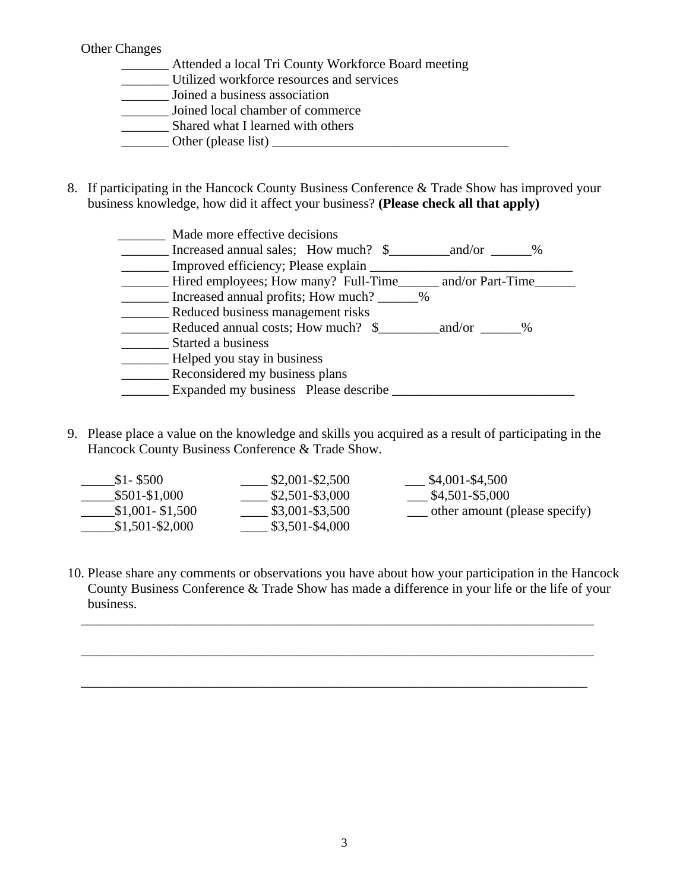## Other Changes

- \_\_\_\_\_\_\_ Attended a local Tri County Workforce Board meeting \_\_\_\_\_\_\_ Utilized workforce resources and services \_\_\_\_\_\_\_ Joined a business association \_\_\_\_\_\_\_ Joined local chamber of commerce **EXECUTE:** Shared what I learned with others \_\_\_\_\_\_\_ Other (please list) \_\_\_\_\_\_\_\_\_\_\_\_\_\_\_\_\_\_\_\_\_\_\_\_\_\_\_\_\_\_\_\_\_\_\_
- 8. If participating in the Hancock County Business Conference & Trade Show has improved your business knowledge, how did it affect your business? **(Please check all that apply)**

| Made more effective decisions                            |  |
|----------------------------------------------------------|--|
| $\frac{1}{2}$                                            |  |
| Improved efficiency; Please explain _                    |  |
| Hired employees; How many? Full-Time<br>and/or Part-Time |  |
| Increased annual profits; How much? ______%              |  |
| Reduced business management risks                        |  |
| Reduced annual costs; How much? \$<br>and/or<br>$\%$     |  |
| Started a business                                       |  |
| Helped you stay in business                              |  |
| Reconsidered my business plans                           |  |
| Expanded my business Please describe                     |  |

9. Please place a value on the knowledge and skills you acquired as a result of participating in the Hancock County Business Conference & Trade Show.

| $$1-$ \$500       | $$2,001 - $2,500$ | \$4,001-\$4,500               |
|-------------------|-------------------|-------------------------------|
| \$501-\$1,000     | $$2,501 - $3,000$ | \$4,501-\$5,000               |
| $$1,001 - $1,500$ | $$3,001 - $3,500$ | other amount (please specify) |
| $$1,501 - $2,000$ | \$3,501-\$4,000   |                               |

10. Please share any comments or observations you have about how your participation in the Hancock County Business Conference & Trade Show has made a difference in your life or the life of your business.

\_\_\_\_\_\_\_\_\_\_\_\_\_\_\_\_\_\_\_\_\_\_\_\_\_\_\_\_\_\_\_\_\_\_\_\_\_\_\_\_\_\_\_\_\_\_\_\_\_\_\_\_\_\_\_\_\_\_\_\_\_\_\_\_\_\_\_\_\_\_\_\_\_\_\_\_

\_\_\_\_\_\_\_\_\_\_\_\_\_\_\_\_\_\_\_\_\_\_\_\_\_\_\_\_\_\_\_\_\_\_\_\_\_\_\_\_\_\_\_\_\_\_\_\_\_\_\_\_\_\_\_\_\_\_\_\_\_\_\_\_\_\_\_\_\_\_\_\_\_\_\_\_

\_\_\_\_\_\_\_\_\_\_\_\_\_\_\_\_\_\_\_\_\_\_\_\_\_\_\_\_\_\_\_\_\_\_\_\_\_\_\_\_\_\_\_\_\_\_\_\_\_\_\_\_\_\_\_\_\_\_\_\_\_\_\_\_\_\_\_\_\_\_\_\_\_\_\_